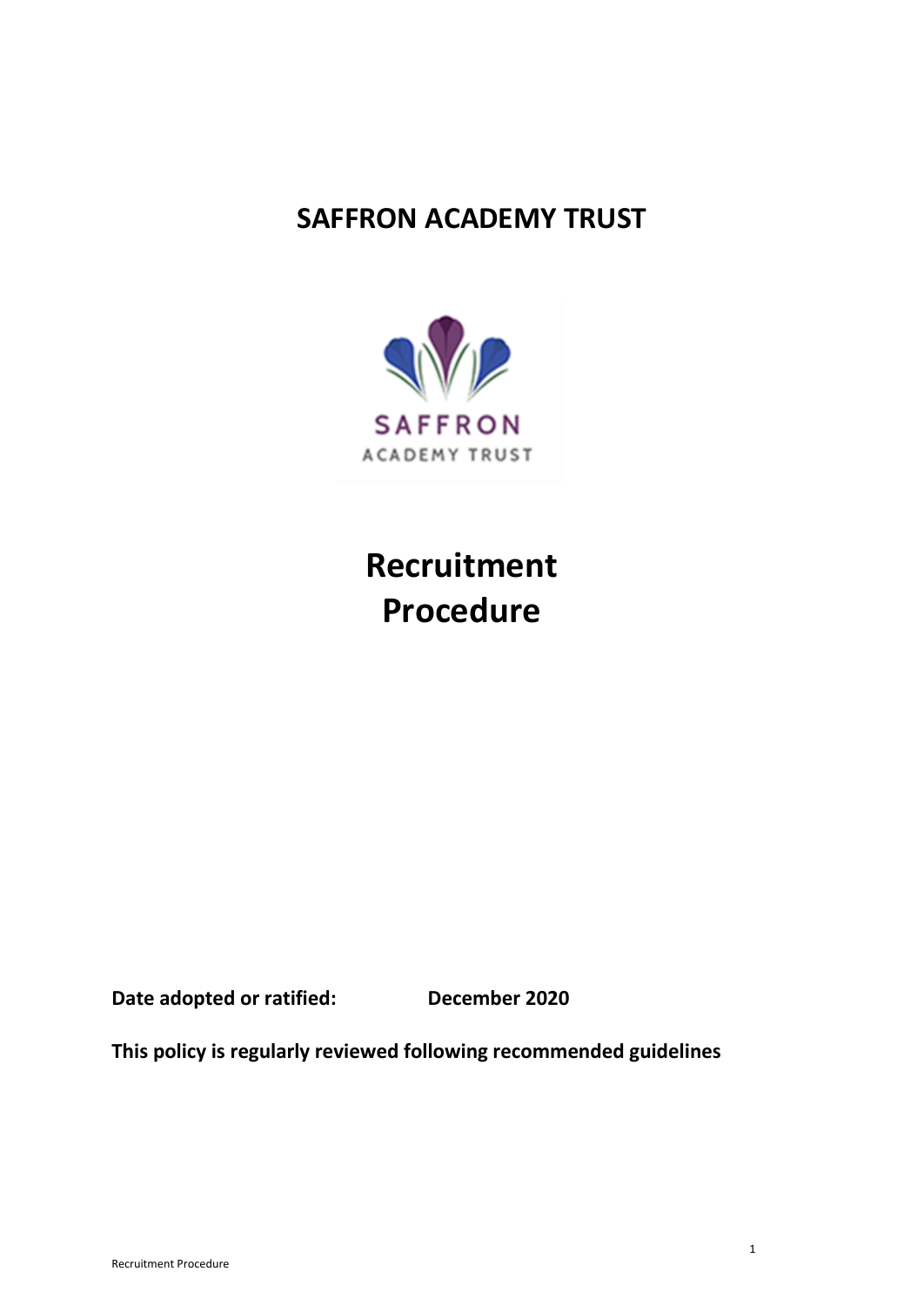# **SAFFRON ACADEMY TRUST**



**Recruitment Procedure** 

**Date adopted or ratified: December 2020**

**This policy is regularly reviewed following recommended guidelines**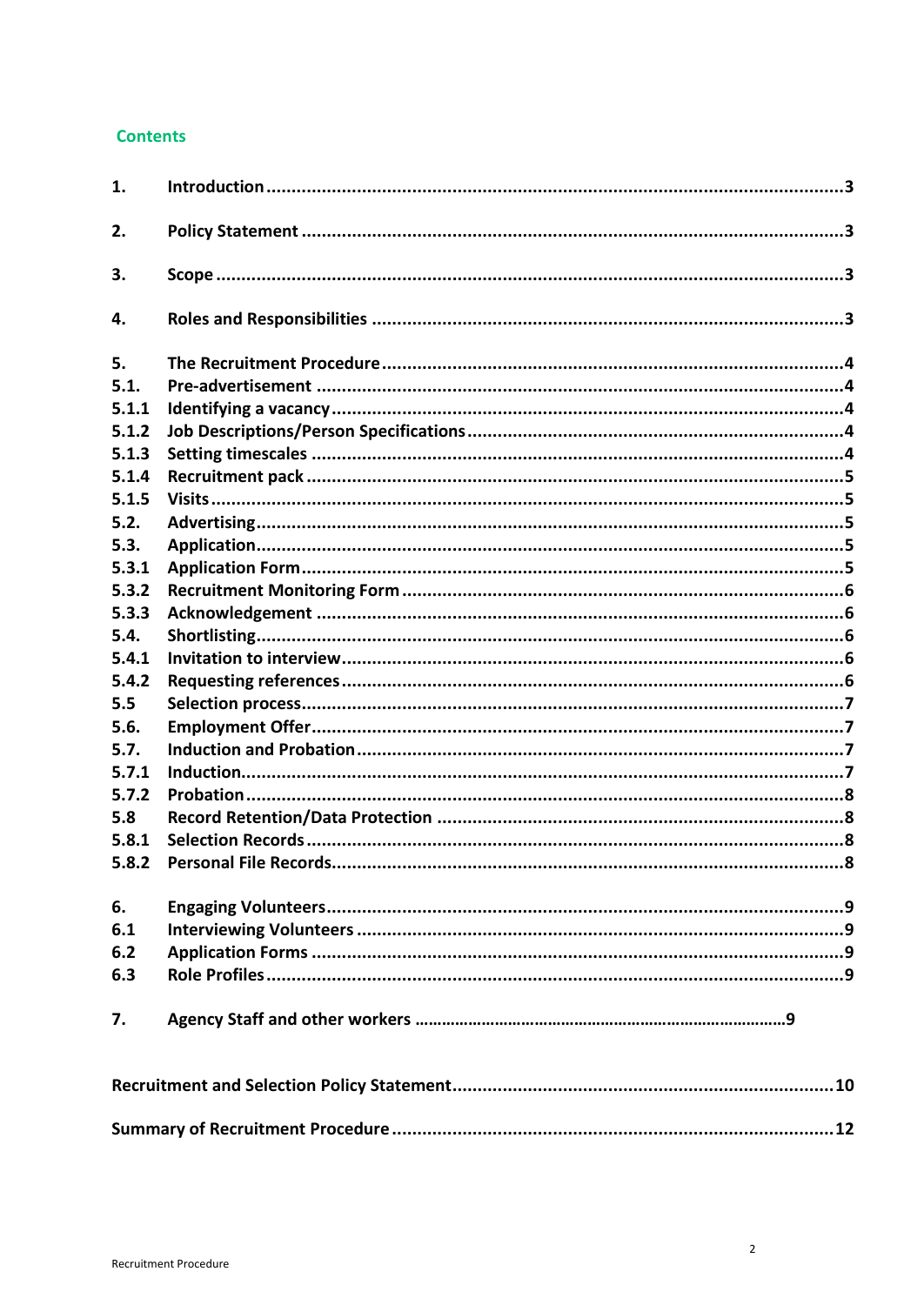# **Contents**

| 1.    |  |
|-------|--|
| 2.    |  |
| 3.    |  |
| 4.    |  |
| 5.    |  |
| 5.1.  |  |
| 5.1.1 |  |
| 5.1.2 |  |
| 5.1.3 |  |
| 5.1.4 |  |
| 5.1.5 |  |
| 5.2.  |  |
| 5.3.  |  |
| 5.3.1 |  |
| 5.3.2 |  |
| 5.3.3 |  |
| 5.4.  |  |
| 5.4.1 |  |
| 5.4.2 |  |
| 5.5   |  |
| 5.6.  |  |
| 5.7.  |  |
| 5.7.1 |  |
| 5.7.2 |  |
| 5.8   |  |
| 5.8.1 |  |
| 5.8.2 |  |
| 6.    |  |
| 6.1   |  |
| 6.2   |  |
| 6.3   |  |
| 7.    |  |
|       |  |
|       |  |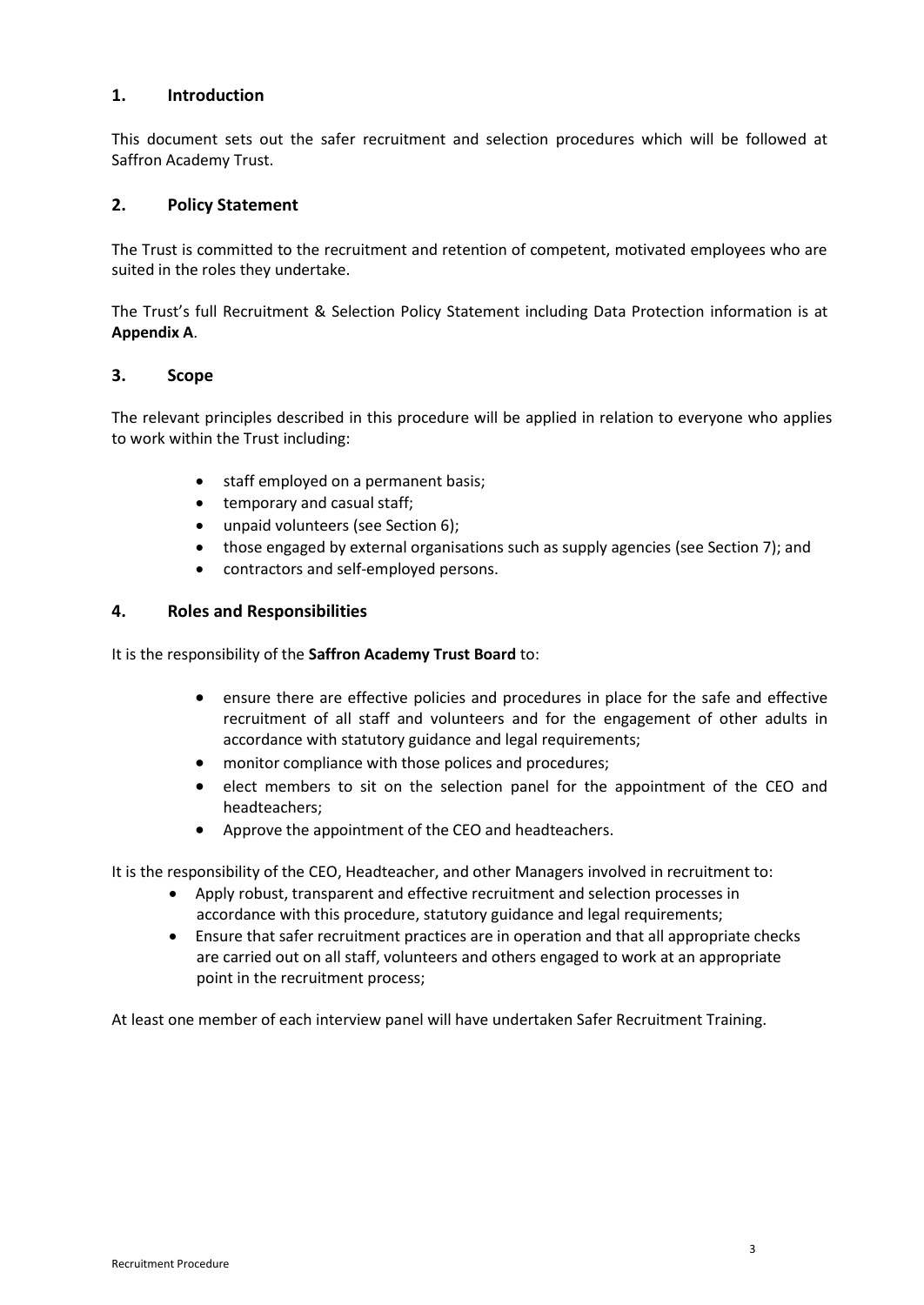# <span id="page-2-0"></span>**1. Introduction**

This document sets out the safer recruitment and selection procedures which will be followed at Saffron Academy Trust.

#### <span id="page-2-1"></span>**2. Policy Statement**

The Trust is committed to the recruitment and retention of competent, motivated employees who are suited in the roles they undertake.

The Trust's full Recruitment & Selection Policy Statement including Data Protection information is at **Appendix A**.

#### <span id="page-2-2"></span>**3. Scope**

The relevant principles described in this procedure will be applied in relation to everyone who applies to work within the Trust including:

- staff employed on a permanent basis;
- temporary and casual staff;
- unpaid volunteers (see Section 6);
- those engaged by external organisations such as supply agencies (see Section 7); and
- contractors and self-employed persons.

# <span id="page-2-3"></span>**4. Roles and Responsibilities**

It is the responsibility of the **Saffron Academy Trust Board** to:

- ensure there are effective policies and procedures in place for the safe and effective recruitment of all staff and volunteers and for the engagement of other adults in accordance with statutory guidance and legal requirements;
- monitor compliance with those polices and procedures;
- elect members to sit on the selection panel for the appointment of the CEO and headteachers;
- Approve the appointment of the CEO and headteachers.

It is the responsibility of the CEO, Headteacher, and other Managers involved in recruitment to:

- Apply robust, transparent and effective recruitment and selection processes in accordance with this procedure, statutory guidance and legal requirements;
- Ensure that safer recruitment practices are in operation and that all appropriate checks are carried out on all staff, volunteers and others engaged to work at an appropriate point in the recruitment process;

At least one member of each interview panel will have undertaken Safer Recruitment Training.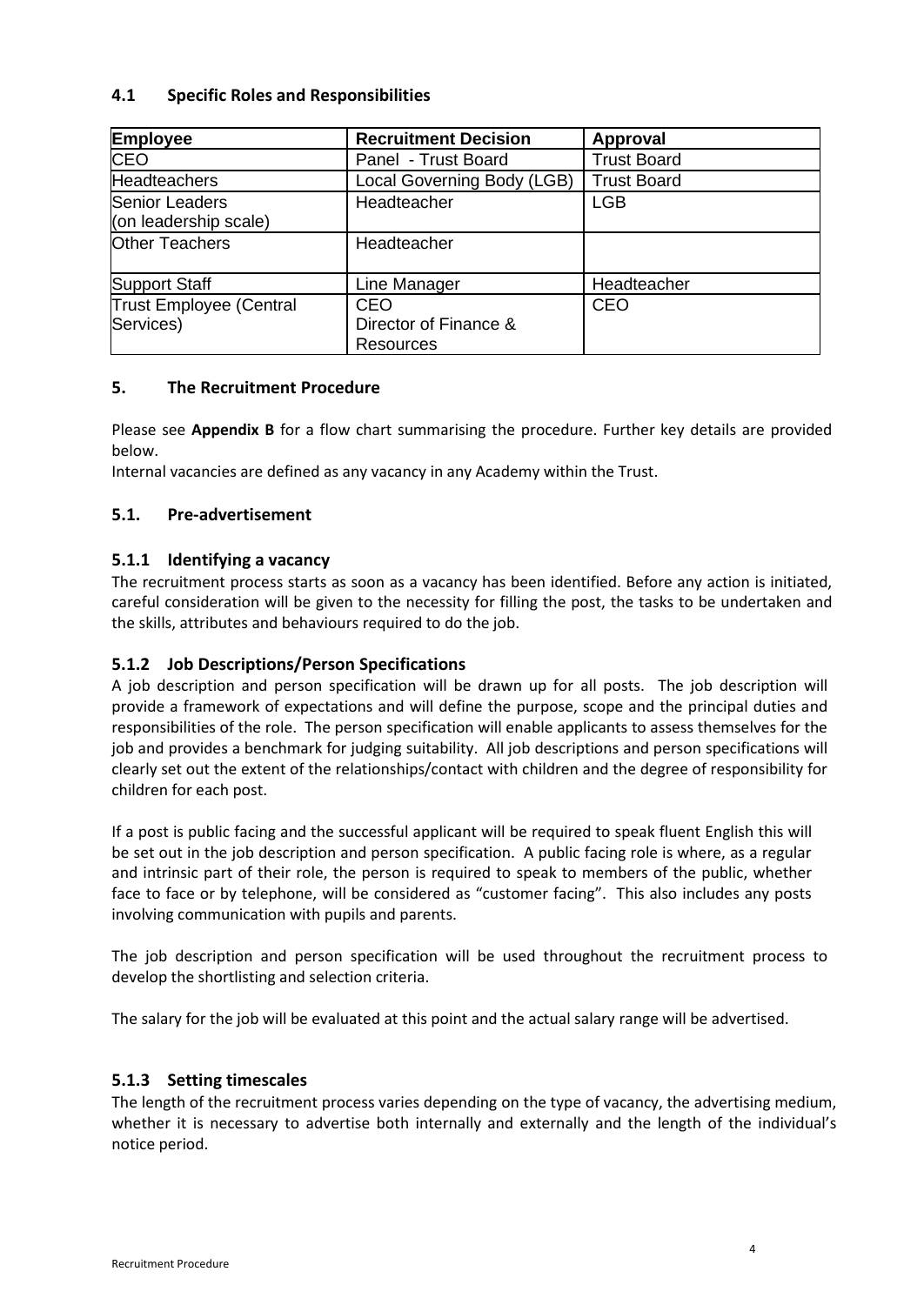# **4.1 Specific Roles and Responsibilities**

| <b>Employee</b>                             | <b>Recruitment Decision</b>               | Approval           |
|---------------------------------------------|-------------------------------------------|--------------------|
| <b>CEO</b>                                  | Panel - Trust Board                       | <b>Trust Board</b> |
| <b>Headteachers</b>                         | Local Governing Body (LGB)                | <b>Trust Board</b> |
| Senior Leaders<br>(on leadership scale)     | Headteacher                               | <b>LGB</b>         |
| <b>Other Teachers</b>                       | Headteacher                               |                    |
| Support Staff                               | Line Manager                              | Headteacher        |
| <b>Trust Employee (Central</b><br>Services) | CEO<br>Director of Finance &<br>Resources | <b>CEO</b>         |

# <span id="page-3-0"></span>**5. The Recruitment Procedure**

Please see **Appendix B** for a flow chart summarising the procedure. Further key details are provided below.

Internal vacancies are defined as any vacancy in any Academy within the Trust.

# <span id="page-3-1"></span>**5.1. Pre-advertisement**

# <span id="page-3-2"></span>**5.1.1 Identifying a vacancy**

The recruitment process starts as soon as a vacancy has been identified. Before any action is initiated, careful consideration will be given to the necessity for filling the post, the tasks to be undertaken and the skills, attributes and behaviours required to do the job.

# <span id="page-3-3"></span>**5.1.2 Job Descriptions/Person Specifications**

A job description and person specification will be drawn up for all posts. The job description will provide a framework of expectations and will define the purpose, scope and the principal duties and responsibilities of the role. The person specification will enable applicants to assess themselves for the job and provides a benchmark for judging suitability. All job descriptions and person specifications will clearly set out the extent of the relationships/contact with children and the degree of responsibility for children for each post.

If a post is public facing and the successful applicant will be required to speak fluent English this will be set out in the job description and person specification. A public facing role is where, as a regular and intrinsic part of their role, the person is required to speak to members of the public, whether face to face or by telephone, will be considered as "customer facing". This also includes any posts involving communication with pupils and parents.

The job description and person specification will be used throughout the recruitment process to develop the shortlisting and selection criteria.

The salary for the job will be evaluated at this point and the actual salary range will be advertised.

# <span id="page-3-4"></span>**5.1.3 Setting timescales**

The length of the recruitment process varies depending on the type of vacancy, the advertising medium, whether it is necessary to advertise both internally and externally and the length of the individual's notice period.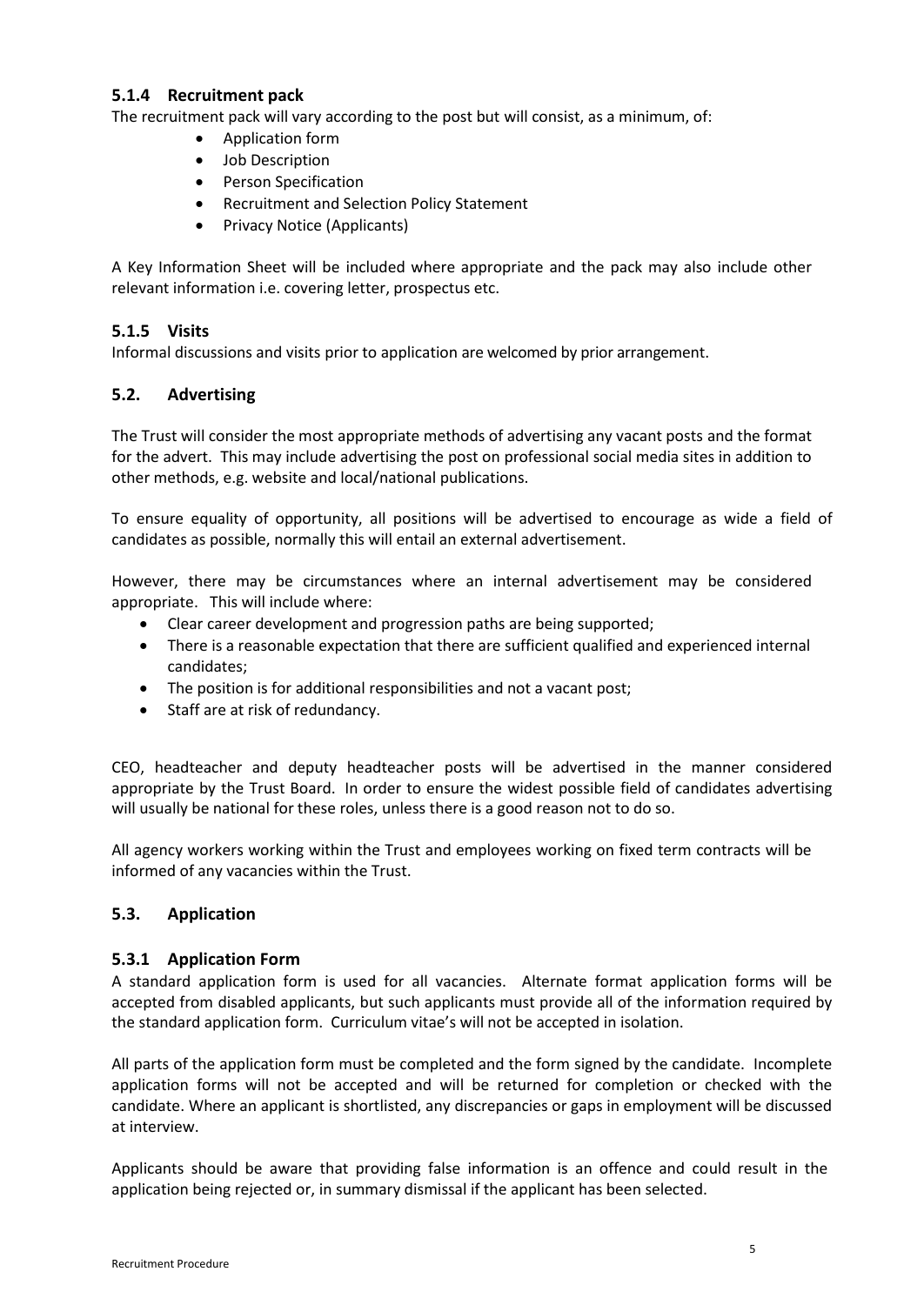# <span id="page-4-0"></span>**5.1.4 Recruitment pack**

The recruitment pack will vary according to the post but will consist, as a minimum, of:

- Application form
- Job Description
- Person Specification
- Recruitment and Selection Policy Statement
- Privacy Notice (Applicants)

A Key Information Sheet will be included where appropriate and the pack may also include other relevant information i.e. covering letter, prospectus etc.

# <span id="page-4-1"></span>**5.1.5 Visits**

Informal discussions and visits prior to application are welcomed by prior arrangement.

# <span id="page-4-2"></span>**5.2. Advertising**

The Trust will consider the most appropriate methods of advertising any vacant posts and the format for the advert. This may include advertising the post on professional social media sites in addition to other methods, e.g. website and local/national publications.

To ensure equality of opportunity, all positions will be advertised to encourage as wide a field of candidates as possible, normally this will entail an external advertisement.

However, there may be circumstances where an internal advertisement may be considered appropriate. This will include where:

- Clear career development and progression paths are being supported;
- There is a reasonable expectation that there are sufficient qualified and experienced internal candidates;
- The position is for additional responsibilities and not a vacant post;
- Staff are at risk of redundancy.

CEO, headteacher and deputy headteacher posts will be advertised in the manner considered appropriate by the Trust Board. In order to ensure the widest possible field of candidates advertising will usually be national for these roles, unless there is a good reason not to do so.

All agency workers working within the Trust and employees working on fixed term contracts will be informed of any vacancies within the Trust.

# <span id="page-4-3"></span>**5.3. Application**

#### <span id="page-4-4"></span>**5.3.1 Application Form**

A standard application form is used for all vacancies. Alternate format application forms will be accepted from disabled applicants, but such applicants must provide all of the information required by the standard application form. Curriculum vitae's will not be accepted in isolation.

All parts of the application form must be completed and the form signed by the candidate. Incomplete application forms will not be accepted and will be returned for completion or checked with the candidate. Where an applicant is shortlisted, any discrepancies or gaps in employment will be discussed at interview.

Applicants should be aware that providing false information is an offence and could result in the application being rejected or, in summary dismissal if the applicant has been selected.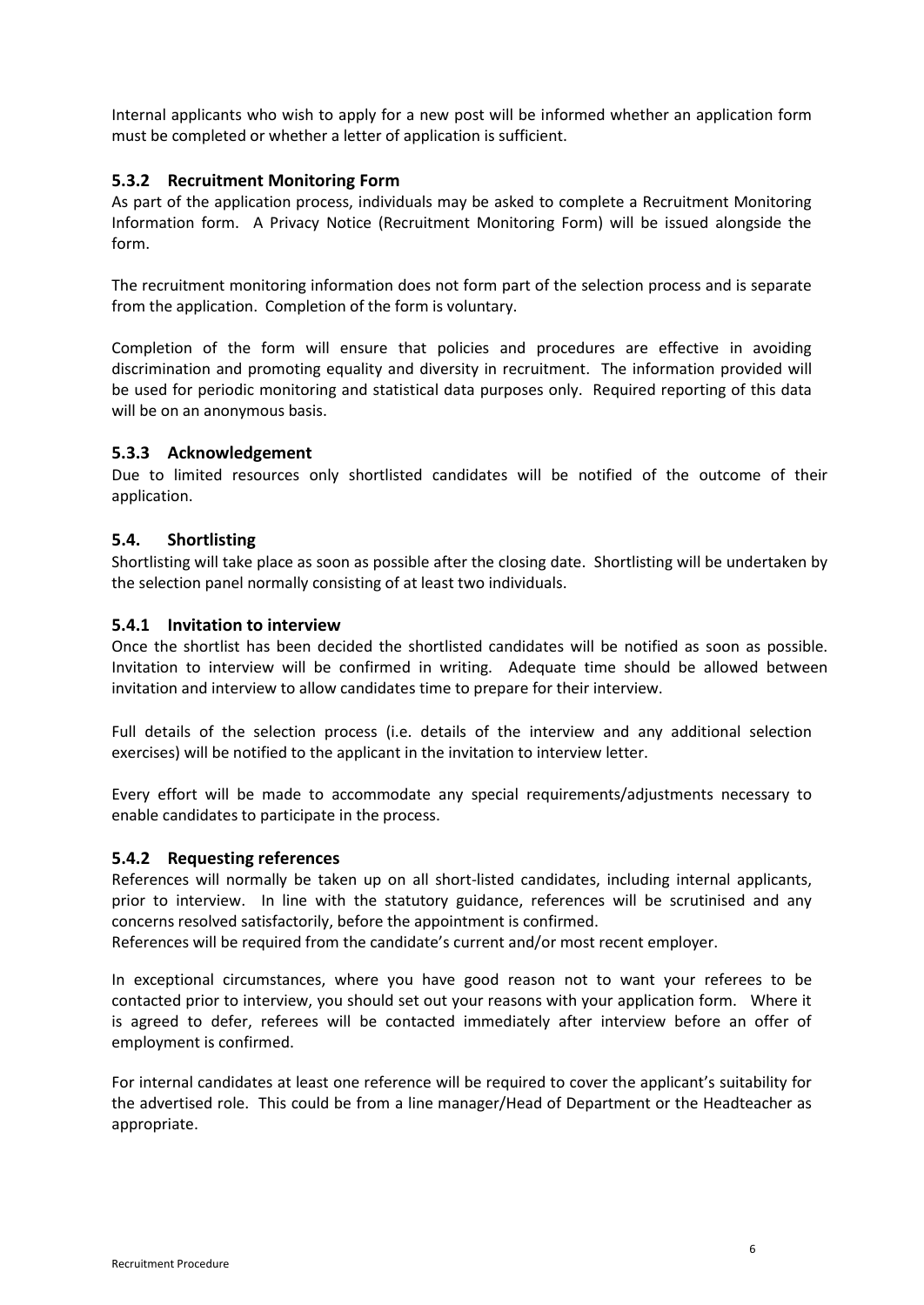Internal applicants who wish to apply for a new post will be informed whether an application form must be completed or whether a letter of application is sufficient.

# <span id="page-5-0"></span>**5.3.2 Recruitment Monitoring Form**

As part of the application process, individuals may be asked to complete a Recruitment Monitoring Information form. A Privacy Notice (Recruitment Monitoring Form) will be issued alongside the form.

The recruitment monitoring information does not form part of the selection process and is separate from the application. Completion of the form is voluntary.

Completion of the form will ensure that policies and procedures are effective in avoiding discrimination and promoting equality and diversity in recruitment. The information provided will be used for periodic monitoring and statistical data purposes only. Required reporting of this data will be on an anonymous basis.

# <span id="page-5-1"></span>**5.3.3 Acknowledgement**

Due to limited resources only shortlisted candidates will be notified of the outcome of their application.

# <span id="page-5-2"></span>**5.4. Shortlisting**

Shortlisting will take place as soon as possible after the closing date. Shortlisting will be undertaken by the selection panel normally consisting of at least two individuals.

#### <span id="page-5-3"></span>**5.4.1 Invitation to interview**

Once the shortlist has been decided the shortlisted candidates will be notified as soon as possible. Invitation to interview will be confirmed in writing. Adequate time should be allowed between invitation and interview to allow candidates time to prepare for their interview.

Full details of the selection process (i.e. details of the interview and any additional selection exercises) will be notified to the applicant in the invitation to interview letter.

Every effort will be made to accommodate any special requirements/adjustments necessary to enable candidates to participate in the process.

#### <span id="page-5-4"></span>**5.4.2 Requesting references**

References will normally be taken up on all short-listed candidates, including internal applicants, prior to interview. In line with the statutory guidance, references will be scrutinised and any concerns resolved satisfactorily, before the appointment is confirmed.

References will be required from the candidate's current and/or most recent employer.

In exceptional circumstances, where you have good reason not to want your referees to be contacted prior to interview, you should set out your reasons with your application form. Where it is agreed to defer, referees will be contacted immediately after interview before an offer of employment is confirmed.

For internal candidates at least one reference will be required to cover the applicant's suitability for the advertised role. This could be from a line manager/Head of Department or the Headteacher as appropriate.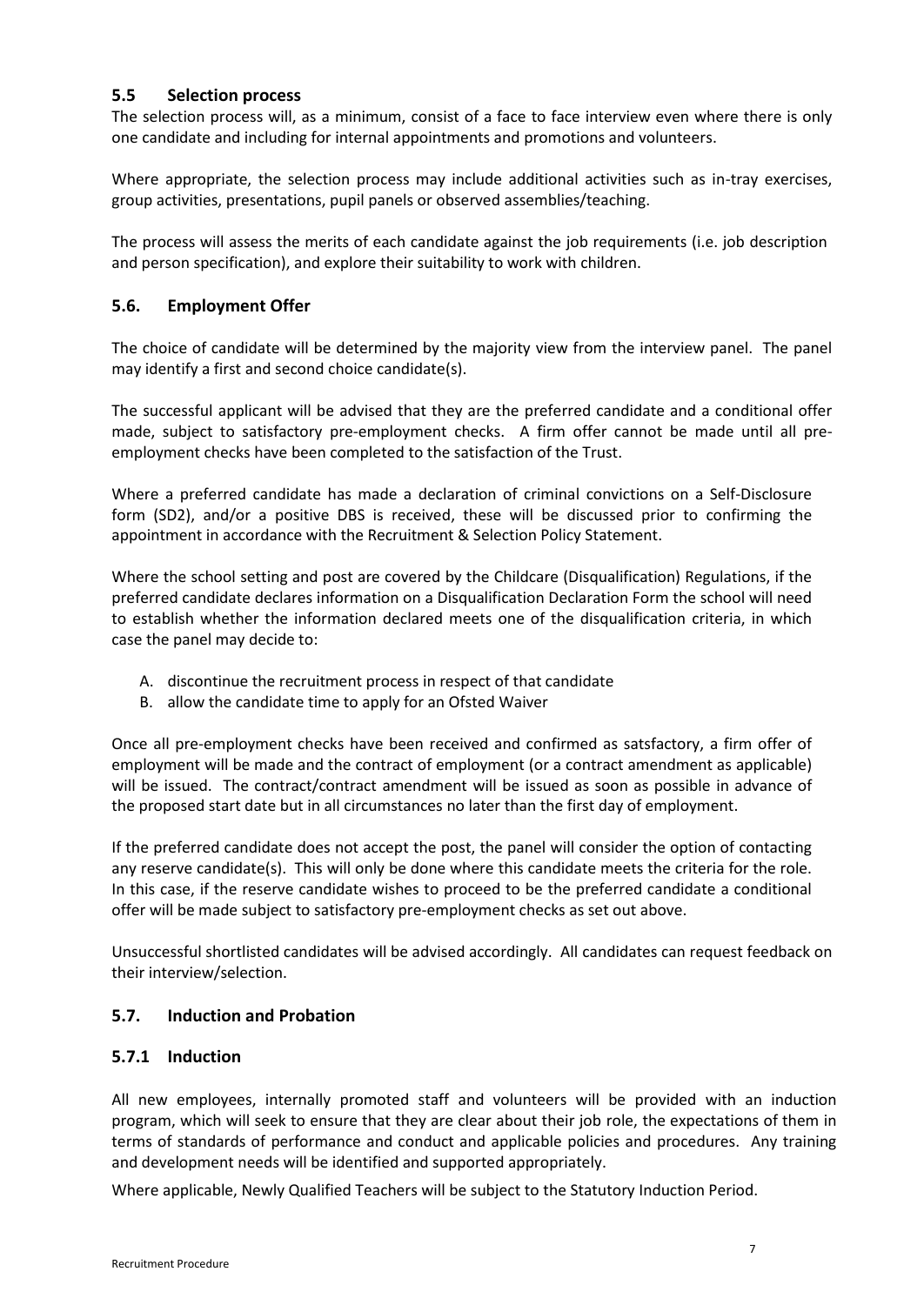# <span id="page-6-0"></span>**5.5 Selection process**

The selection process will, as a minimum, consist of a face to face interview even where there is only one candidate and including for internal appointments and promotions and volunteers.

Where appropriate, the selection process may include additional activities such as in-tray exercises, group activities, presentations, pupil panels or observed assemblies/teaching.

The process will assess the merits of each candidate against the job requirements (i.e. job description and person specification), and explore their suitability to work with children.

# <span id="page-6-1"></span>**5.6. Employment Offer**

The choice of candidate will be determined by the majority view from the interview panel. The panel may identify a first and second choice candidate(s).

The successful applicant will be advised that they are the preferred candidate and a conditional offer made, subject to satisfactory pre-employment checks. A firm offer cannot be made until all preemployment checks have been completed to the satisfaction of the Trust.

Where a preferred candidate has made a declaration of criminal convictions on a Self-Disclosure form (SD2), and/or a positive DBS is received, these will be discussed prior to confirming the appointment in accordance with the Recruitment & Selection Policy Statement.

Where the school setting and post are covered by the Childcare (Disqualification) Regulations, if the preferred candidate declares information on a Disqualification Declaration Form the school will need to establish whether the information declared meets one of the disqualification criteria, in which case the panel may decide to:

- A. discontinue the recruitment process in respect of that candidate
- B. allow the candidate time to apply for an Ofsted Waiver

Once all pre-employment checks have been received and confirmed as satsfactory, a firm offer of employment will be made and the contract of employment (or a contract amendment as applicable) will be issued. The contract/contract amendment will be issued as soon as possible in advance of the proposed start date but in all circumstances no later than the first day of employment.

If the preferred candidate does not accept the post, the panel will consider the option of contacting any reserve candidate(s). This will only be done where this candidate meets the criteria for the role. In this case, if the reserve candidate wishes to proceed to be the preferred candidate a conditional offer will be made subject to satisfactory pre-employment checks as set out above.

Unsuccessful shortlisted candidates will be advised accordingly. All candidates can request feedback on their interview/selection.

# <span id="page-6-2"></span>**5.7. Induction and Probation**

#### <span id="page-6-3"></span>**5.7.1 Induction**

All new employees, internally promoted staff and volunteers will be provided with an induction program, which will seek to ensure that they are clear about their job role, the expectations of them in terms of standards of performance and conduct and applicable policies and procedures. Any training and development needs will be identified and supported appropriately.

Where applicable, Newly Qualified Teachers will be subject to the Statutory Induction Period.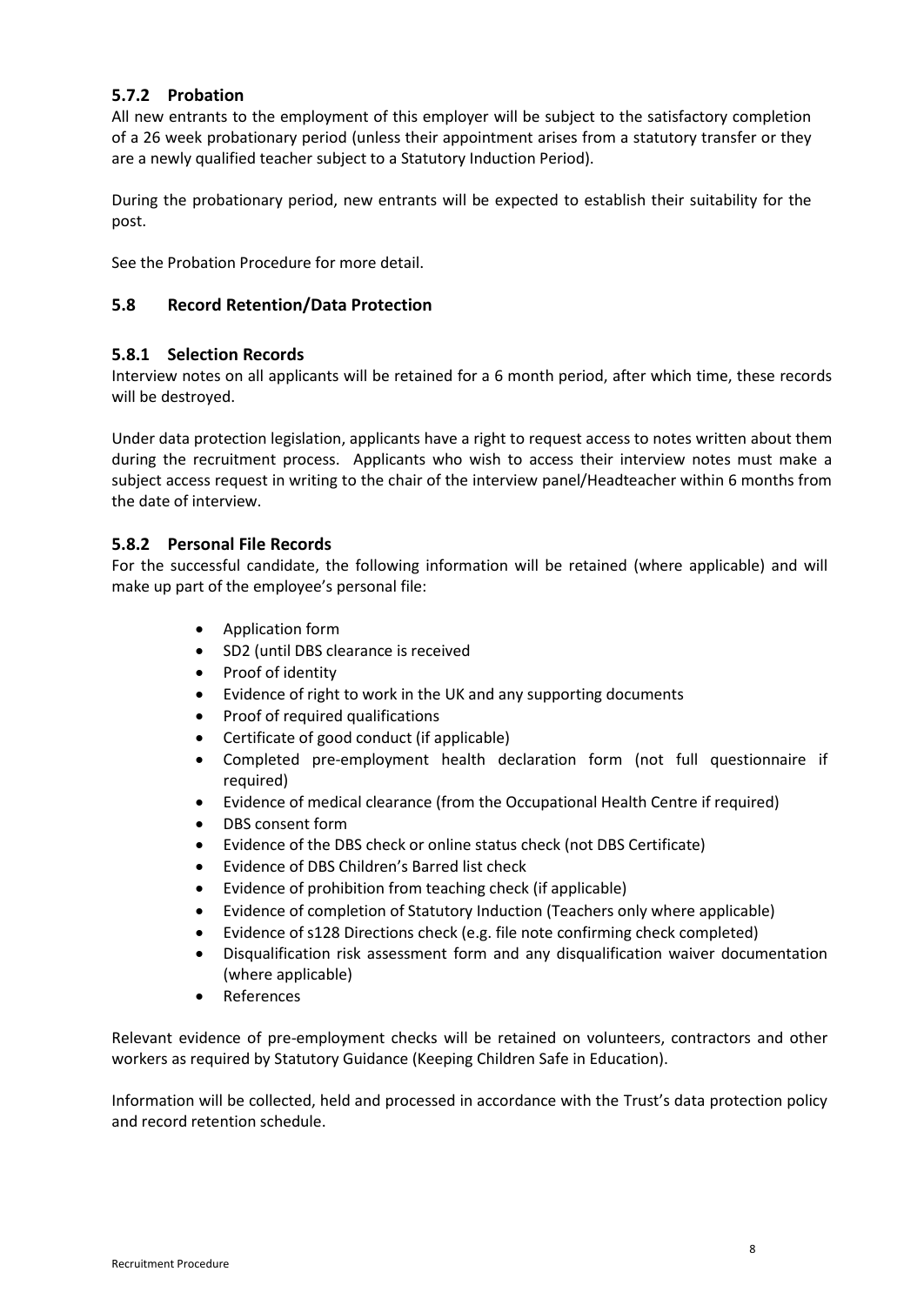# <span id="page-7-0"></span>**5.7.2 Probation**

All new entrants to the employment of this employer will be subject to the satisfactory completion of a 26 week probationary period (unless their appointment arises from a statutory transfer or they are a newly qualified teacher subject to a Statutory Induction Period).

During the probationary period, new entrants will be expected to establish their suitability for the post.

See the Probation Procedure for more detail.

# <span id="page-7-1"></span>**5.8 Record Retention/Data Protection**

# <span id="page-7-2"></span>**5.8.1 Selection Records**

Interview notes on all applicants will be retained for a 6 month period, after which time, these records will be destroyed.

Under data protection legislation, applicants have a right to request access to notes written about them during the recruitment process. Applicants who wish to access their interview notes must make a subject access request in writing to the chair of the interview panel/Headteacher within 6 months from the date of interview.

# <span id="page-7-3"></span>**5.8.2 Personal File Records**

For the successful candidate, the following information will be retained (where applicable) and will make up part of the employee's personal file:

- Application form
- SD2 (until DBS clearance is received
- Proof of identity
- Evidence of right to work in the UK and any supporting documents
- Proof of required qualifications
- Certificate of good conduct (if applicable)
- Completed pre-employment health declaration form (not full questionnaire if required)
- Evidence of medical clearance (from the Occupational Health Centre if required)
- DBS consent form
- Evidence of the DBS check or online status check (not DBS Certificate)
- Evidence of DBS Children's Barred list check
- Evidence of prohibition from teaching check (if applicable)
- Evidence of completion of Statutory Induction (Teachers only where applicable)
- Evidence of s128 Directions check (e.g. file note confirming check completed)
- Disqualification risk assessment form and any disqualification waiver documentation (where applicable)
- **References**

Relevant evidence of pre-employment checks will be retained on volunteers, contractors and other workers as required by Statutory Guidance (Keeping Children Safe in Education).

Information will be collected, held and processed in accordance with the Trust's data protection policy and record retention schedule.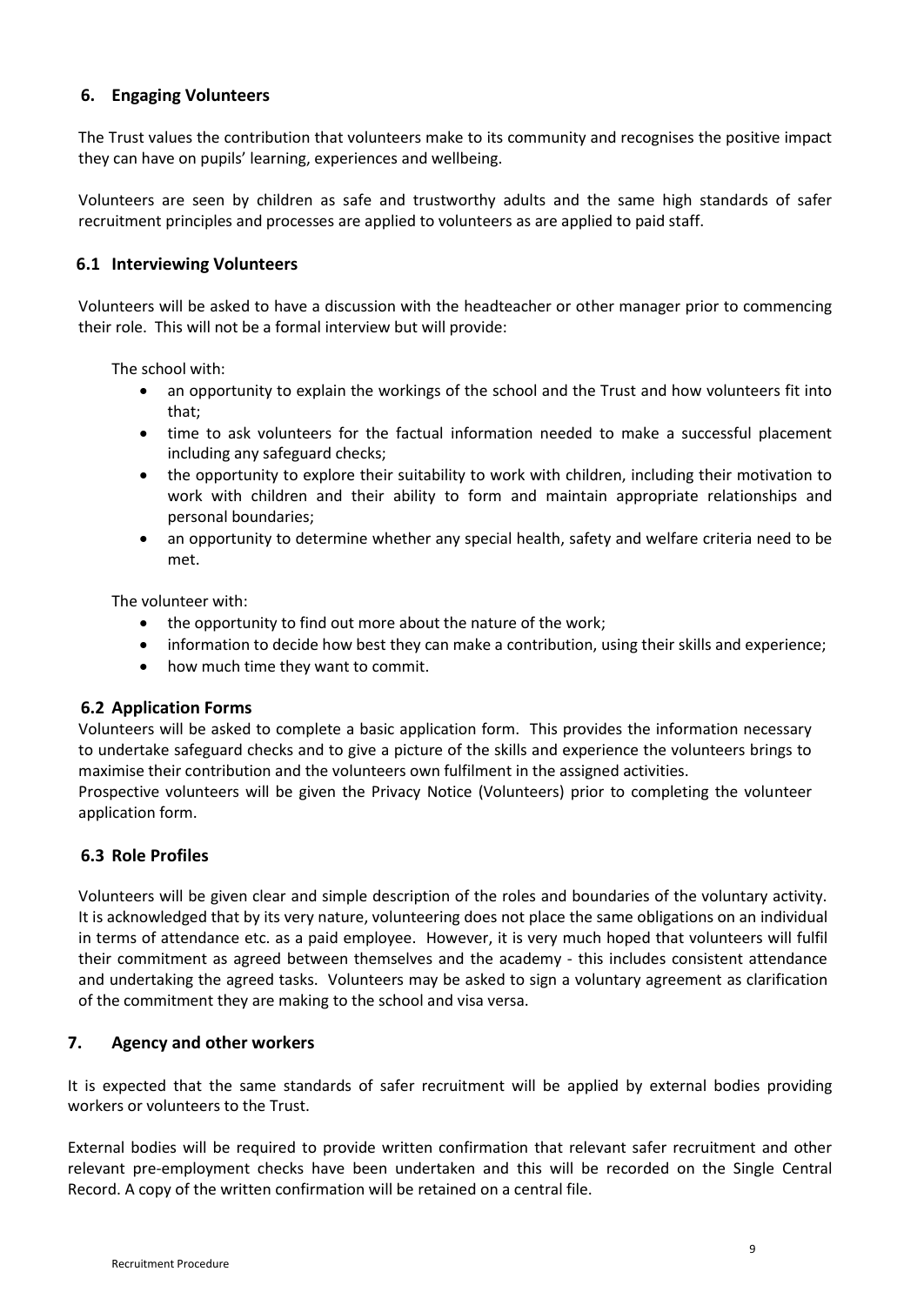# <span id="page-8-0"></span>**6. Engaging Volunteers**

The Trust values the contribution that volunteers make to its community and recognises the positive impact they can have on pupils' learning, experiences and wellbeing.

Volunteers are seen by children as safe and trustworthy adults and the same high standards of safer recruitment principles and processes are applied to volunteers as are applied to paid staff.

# <span id="page-8-1"></span>**6.1 Interviewing Volunteers**

Volunteers will be asked to have a discussion with the headteacher or other manager prior to commencing their role. This will not be a formal interview but will provide:

The school with:

- an opportunity to explain the workings of the school and the Trust and how volunteers fit into that;
- time to ask volunteers for the factual information needed to make a successful placement including any safeguard checks;
- the opportunity to explore their suitability to work with children, including their motivation to work with children and their ability to form and maintain appropriate relationships and personal boundaries;
- an opportunity to determine whether any special health, safety and welfare criteria need to be met.

The volunteer with:

- the opportunity to find out more about the nature of the work;
- information to decide how best they can make a contribution, using their skills and experience;
- how much time they want to commit.

#### <span id="page-8-2"></span>**6.2 Application Forms**

Volunteers will be asked to complete a basic application form. This provides the information necessary to undertake safeguard checks and to give a picture of the skills and experience the volunteers brings to maximise their contribution and the volunteers own fulfilment in the assigned activities.

Prospective volunteers will be given the Privacy Notice (Volunteers) prior to completing the volunteer application form.

# <span id="page-8-3"></span>**6.3 Role Profiles**

Volunteers will be given clear and simple description of the roles and boundaries of the voluntary activity. It is acknowledged that by its very nature, volunteering does not place the same obligations on an individual in terms of attendance etc. as a paid employee. However, it is very much hoped that volunteers will fulfil their commitment as agreed between themselves and the academy - this includes consistent attendance and undertaking the agreed tasks. Volunteers may be asked to sign a voluntary agreement as clarification of the commitment they are making to the school and visa versa.

# **7. Agency and other workers**

It is expected that the same standards of safer recruitment will be applied by external bodies providing workers or volunteers to the Trust.

External bodies will be required to provide written confirmation that relevant safer recruitment and other relevant pre-employment checks have been undertaken and this will be recorded on the Single Central Record. A copy of the written confirmation will be retained on a central file.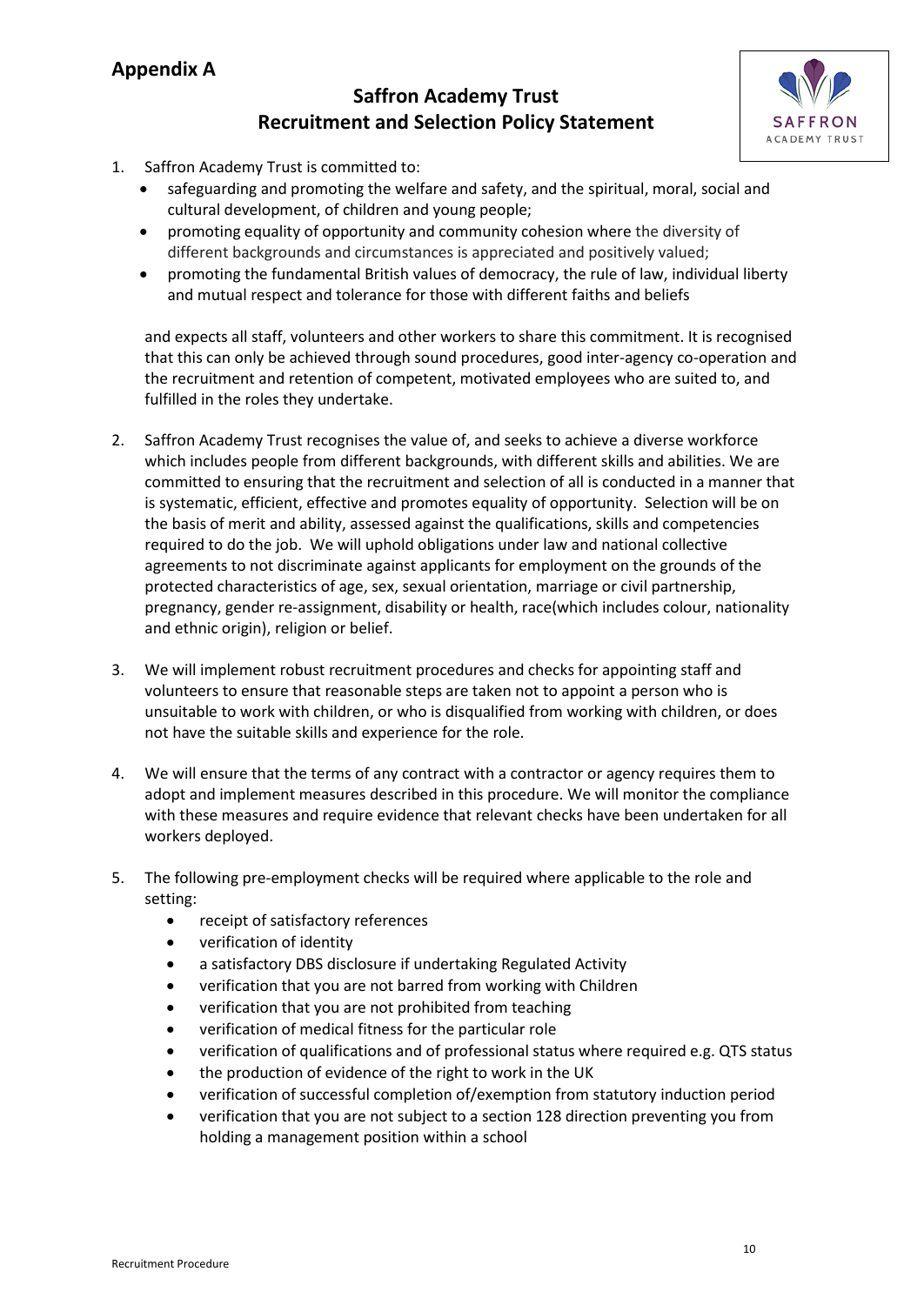# **Appendix A**

# **Saffron Academy Trust Recruitment and Selection Policy Statement**



- <span id="page-9-0"></span>1. Saffron Academy Trust is committed to:
	- safeguarding and promoting the welfare and safety, and the spiritual, moral, social and cultural development, of children and young people;
	- promoting equality of opportunity and community cohesion where the diversity of different backgrounds and circumstances is appreciated and positively valued;
	- promoting the fundamental British values of democracy, the rule of law, individual liberty and mutual respect and tolerance for those with different faiths and beliefs

and expects all staff, volunteers and other workers to share this commitment. It is recognised that this can only be achieved through sound procedures, good inter-agency co-operation and the recruitment and retention of competent, motivated employees who are suited to, and fulfilled in the roles they undertake.

- 2. Saffron Academy Trust recognises the value of, and seeks to achieve a diverse workforce which includes people from different backgrounds, with different skills and abilities. We are committed to ensuring that the recruitment and selection of all is conducted in a manner that is systematic, efficient, effective and promotes equality of opportunity. Selection will be on the basis of merit and ability, assessed against the qualifications, skills and competencies required to do the job. We will uphold obligations under law and national collective agreements to not discriminate against applicants for employment on the grounds of the protected characteristics of age, sex, sexual orientation, marriage or civil partnership, pregnancy, gender re-assignment, disability or health, race(which includes colour, nationality and ethnic origin), religion or belief.
- 3. We will implement robust recruitment procedures and checks for appointing staff and volunteers to ensure that reasonable steps are taken not to appoint a person who is unsuitable to work with children, or who is disqualified from working with children, or does not have the suitable skills and experience for the role.
- 4. We will ensure that the terms of any contract with a contractor or agency requires them to adopt and implement measures described in this procedure. We will monitor the compliance with these measures and require evidence that relevant checks have been undertaken for all workers deployed.
- 5. The following pre-employment checks will be required where applicable to the role and setting:
	- receipt of satisfactory references
	- verification of identity
	- a satisfactory DBS disclosure if undertaking Regulated Activity
	- verification that you are not barred from working with Children
	- verification that you are not prohibited from teaching
	- verification of medical fitness for the particular role
	- verification of qualifications and of professional status where required e.g. QTS status
	- the production of evidence of the right to work in the UK
	- verification of successful completion of/exemption from statutory induction period
	- verification that you are not subject to a section 128 direction preventing you from holding a management position within a school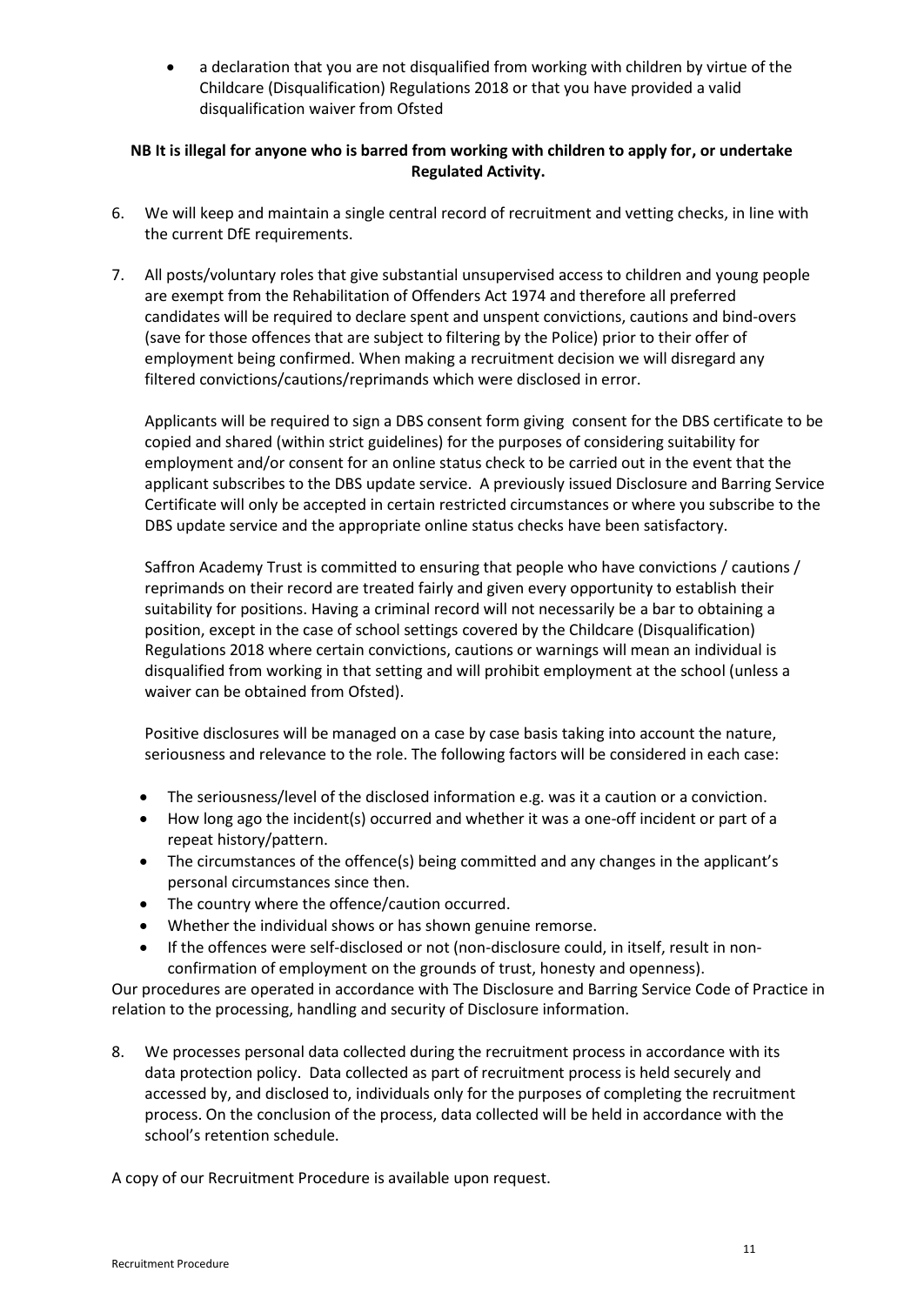• a declaration that you are not disqualified from working with children by virtue of the Childcare (Disqualification) Regulations 2018 or that you have provided a valid disqualification waiver from Ofsted

# **NB It is illegal for anyone who is barred from working with children to apply for, or undertake Regulated Activity.**

- 6. We will keep and maintain a single central record of recruitment and vetting checks, in line with the current DfE requirements.
- 7. All posts/voluntary roles that give substantial unsupervised access to children and young people are exempt from the Rehabilitation of Offenders Act 1974 and therefore all preferred candidates will be required to declare spent and unspent convictions, cautions and bind-overs (save for those offences that are subject to filtering by the Police) prior to their offer of employment being confirmed. When making a recruitment decision we will disregard any filtered convictions/cautions/reprimands which were disclosed in error.

Applicants will be required to sign a DBS consent form giving consent for the DBS certificate to be copied and shared (within strict guidelines) for the purposes of considering suitability for employment and/or consent for an online status check to be carried out in the event that the applicant subscribes to the DBS update service. A previously issued Disclosure and Barring Service Certificate will only be accepted in certain restricted circumstances or where you subscribe to the DBS update service and the appropriate online status checks have been satisfactory.

Saffron Academy Trust is committed to ensuring that people who have convictions / cautions / reprimands on their record are treated fairly and given every opportunity to establish their suitability for positions. Having a criminal record will not necessarily be a bar to obtaining a position, except in the case of school settings covered by the Childcare (Disqualification) Regulations 2018 where certain convictions, cautions or warnings will mean an individual is disqualified from working in that setting and will prohibit employment at the school (unless a waiver can be obtained from Ofsted).

Positive disclosures will be managed on a case by case basis taking into account the nature, seriousness and relevance to the role. The following factors will be considered in each case:

- The seriousness/level of the disclosed information e.g. was it a caution or a conviction.
- How long ago the incident(s) occurred and whether it was a one-off incident or part of a repeat history/pattern.
- The circumstances of the offence(s) being committed and any changes in the applicant's personal circumstances since then.
- The country where the offence/caution occurred.
- Whether the individual shows or has shown genuine remorse.
- If the offences were self-disclosed or not (non-disclosure could, in itself, result in nonconfirmation of employment on the grounds of trust, honesty and openness).

Our procedures are operated in accordance with The Disclosure and Barring Service Code of Practice in relation to the processing, handling and security of Disclosure information.

8. We processes personal data collected during the recruitment process in accordance with its data protection policy. Data collected as part of recruitment process is held securely and accessed by, and disclosed to, individuals only for the purposes of completing the recruitment process. On the conclusion of the process, data collected will be held in accordance with the school's retention schedule.

A copy of our Recruitment Procedure is available upon request.